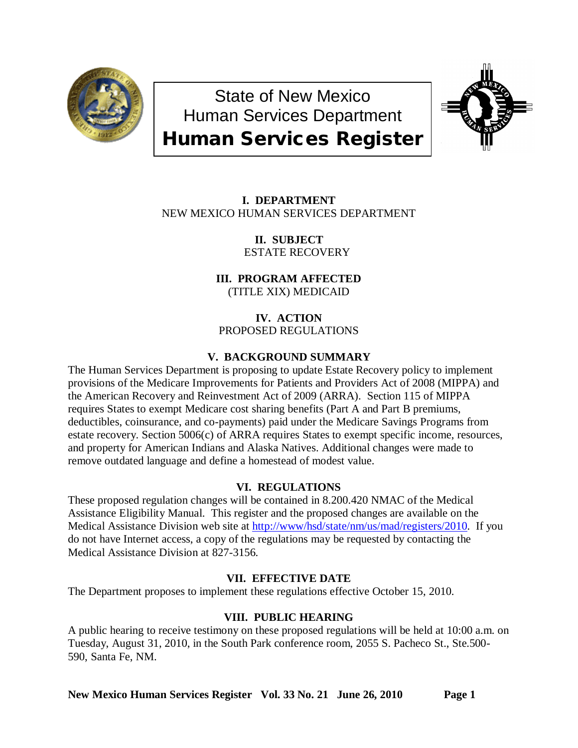

State of New Mexico Human Services Department Human Services Register



# **I. DEPARTMENT** NEW MEXICO HUMAN SERVICES DEPARTMENT

**II. SUBJECT** ESTATE RECOVERY

**III. PROGRAM AFFECTED** (TITLE XIX) MEDICAID

**IV. ACTION** PROPOSED REGULATIONS

## **V. BACKGROUND SUMMARY**

The Human Services Department is proposing to update Estate Recovery policy to implement provisions of the Medicare Improvements for Patients and Providers Act of 2008 (MIPPA) and the American Recovery and Reinvestment Act of 2009 (ARRA). Section 115 of MIPPA requires States to exempt Medicare cost sharing benefits (Part A and Part B premiums, deductibles, coinsurance, and co-payments) paid under the Medicare Savings Programs from estate recovery. Section 5006(c) of ARRA requires States to exempt specific income, resources, and property for American Indians and Alaska Natives. Additional changes were made to remove outdated language and define a homestead of modest value.

## **VI. REGULATIONS**

These proposed regulation changes will be contained in 8.200.420 NMAC of the Medical Assistance Eligibility Manual. This register and the proposed changes are available on the Medical Assistance Division web site at [http://www/hsd/state/nm/us/mad/registers/2010.](http://www/hsd/state/nm/us/mad/registers/2010) If you do not have Internet access, a copy of the regulations may be requested by contacting the Medical Assistance Division at 827-3156.

## **VII. EFFECTIVE DATE**

The Department proposes to implement these regulations effective October 15, 2010.

## **VIII. PUBLIC HEARING**

A public hearing to receive testimony on these proposed regulations will be held at 10:00 a.m. on Tuesday, August 31, 2010, in the South Park conference room, 2055 S. Pacheco St., Ste.500- 590, Santa Fe, NM.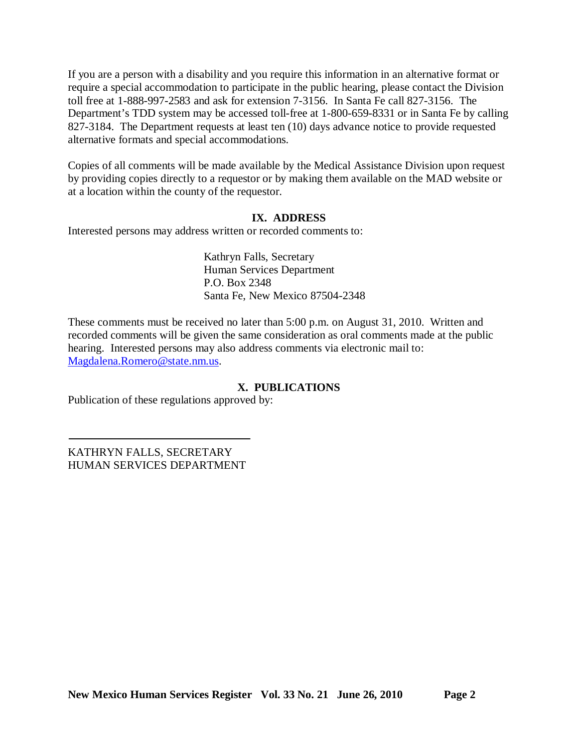If you are a person with a disability and you require this information in an alternative format or require a special accommodation to participate in the public hearing, please contact the Division toll free at 1-888-997-2583 and ask for extension 7-3156. In Santa Fe call 827-3156. The Department's TDD system may be accessed toll-free at 1-800-659-8331 or in Santa Fe by calling 827-3184. The Department requests at least ten (10) days advance notice to provide requested alternative formats and special accommodations.

Copies of all comments will be made available by the Medical Assistance Division upon request by providing copies directly to a requestor or by making them available on the MAD website or at a location within the county of the requestor.

## **IX. ADDRESS**

Interested persons may address written or recorded comments to:

Kathryn Falls, Secretary Human Services Department P.O. Box 2348 Santa Fe, New Mexico 87504-2348

These comments must be received no later than 5:00 p.m. on August 31, 2010. Written and recorded comments will be given the same consideration as oral comments made at the public hearing. Interested persons may also address comments via electronic mail to: [Magdalena.Romero@state.nm.us.](mailto:Magdalena.Romero@state.nm.us)

## **X. PUBLICATIONS**

Publication of these regulations approved by:

KATHRYN FALLS, SECRETARY HUMAN SERVICES DEPARTMENT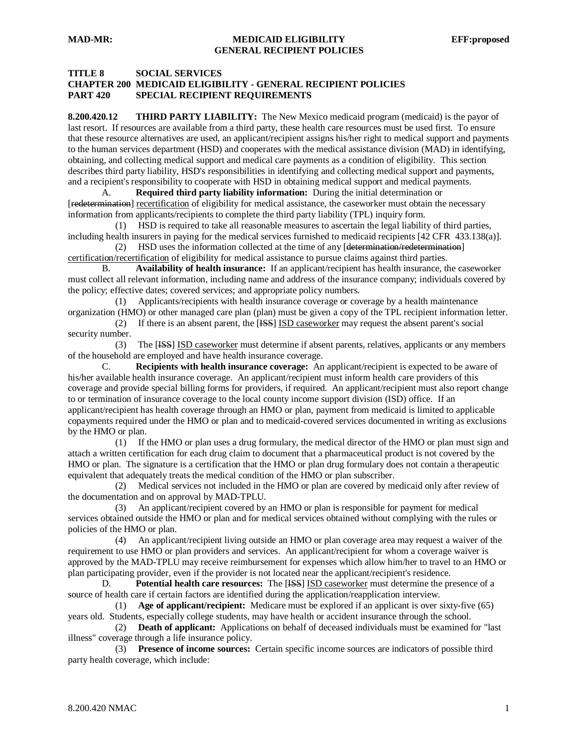#### **TITLE 8 SOCIAL SERVICES**

### **CHAPTER 200 MEDICAID ELIGIBILITY - GENERAL RECIPIENT POLICIES PART 420 SPECIAL RECIPIENT REQUIREMENTS**

**8.200.420.12 THIRD PARTY LIABILITY:** The New Mexico medicaid program (medicaid) is the payor of last resort. If resources are available from a third party, these health care resources must be used first. To ensure that these resource alternatives are used, an applicant/recipient assigns his/her right to medical support and payments to the human services department (HSD) and cooperates with the medical assistance division (MAD) in identifying, obtaining, and collecting medical support and medical care payments as a condition of eligibility. This section describes third party liability, HSD's responsibilities in identifying and collecting medical support and payments, and a recipient's responsibility to cooperate with HSD in obtaining medical support and medical payments.

A. **Required third party liability information:** During the initial determination or [redetermination] recertification of eligibility for medical assistance, the caseworker must obtain the necessary information from applicants/recipients to complete the third party liability (TPL) inquiry form.

 (1) HSD is required to take all reasonable measures to ascertain the legal liability of third parties, including health insurers in paying for the medical services furnished to medicaid recipients [42 CFR 433.138(a)].

 (2) HSD uses the information collected at the time of any [determination/redetermination] certification/recertification of eligibility for medical assistance to pursue claims against third parties.

B. **Availability of health insurance:** If an applicant/recipient has health insurance, the caseworker must collect all relevant information, including name and address of the insurance company; individuals covered by the policy; effective dates; covered services; and appropriate policy numbers.

 (1) Applicants/recipients with health insurance coverage or coverage by a health maintenance organization (HMO) or other managed care plan (plan) must be given a copy of the TPL recipient information letter.

(2) If there is an absent parent, the [**ISS**] **ISD** caseworker may request the absent parent's social security number.

(3) The [<del>ISS</del>] ISD caseworker must determine if absent parents, relatives, applicants or any members of the household are employed and have health insurance coverage.

C. **Recipients with health insurance coverage:** An applicant/recipient is expected to be aware of his/her available health insurance coverage. An applicant/recipient must inform health care providers of this coverage and provide special billing forms for providers, if required. An applicant/recipient must also report change to or termination of insurance coverage to the local county income support division (ISD) office. If an applicant/recipient has health coverage through an HMO or plan, payment from medicaid is limited to applicable copayments required under the HMO or plan and to medicaid-covered services documented in writing as exclusions by the HMO or plan.

 (1) If the HMO or plan uses a drug formulary, the medical director of the HMO or plan must sign and attach a written certification for each drug claim to document that a pharmaceutical product is not covered by the HMO or plan. The signature is a certification that the HMO or plan drug formulary does not contain a therapeutic equivalent that adequately treats the medical condition of the HMO or plan subscriber.

 (2) Medical services not included in the HMO or plan are covered by medicaid only after review of the documentation and on approval by MAD-TPLU.

 (3) An applicant/recipient covered by an HMO or plan is responsible for payment for medical services obtained outside the HMO or plan and for medical services obtained without complying with the rules or policies of the HMO or plan.

 (4) An applicant/recipient living outside an HMO or plan coverage area may request a waiver of the requirement to use HMO or plan providers and services. An applicant/recipient for whom a coverage waiver is approved by the MAD-TPLU may receive reimbursement for expenses which allow him/her to travel to an HMO or plan participating provider, even if the provider is not located near the applicant/recipient's residence.

D. **Potential health care resources:** The [SSS] ISD caseworker must determine the presence of a source of health care if certain factors are identified during the application/reapplication interview.

 (1) **Age of applicant/recipient:** Medicare must be explored if an applicant is over sixty-five (65) years old. Students, especially college students, may have health or accident insurance through the school.

 (2) **Death of applicant:** Applications on behalf of deceased individuals must be examined for "last illness" coverage through a life insurance policy.

 (3) **Presence of income sources:** Certain specific income sources are indicators of possible third party health coverage, which include: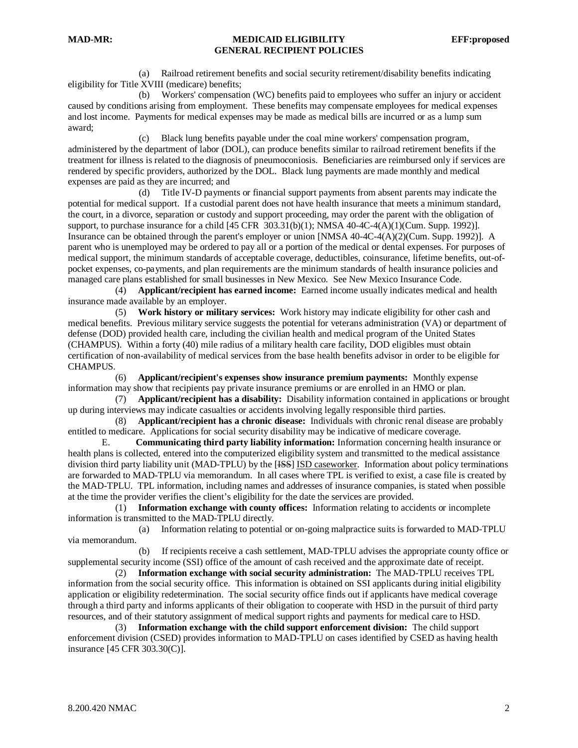(a) Railroad retirement benefits and social security retirement/disability benefits indicating eligibility for Title XVIII (medicare) benefits;

 (b) Workers' compensation (WC) benefits paid to employees who suffer an injury or accident caused by conditions arising from employment. These benefits may compensate employees for medical expenses and lost income. Payments for medical expenses may be made as medical bills are incurred or as a lump sum award;

 (c) Black lung benefits payable under the coal mine workers' compensation program, administered by the department of labor (DOL), can produce benefits similar to railroad retirement benefits if the treatment for illness is related to the diagnosis of pneumoconiosis. Beneficiaries are reimbursed only if services are rendered by specific providers, authorized by the DOL. Black lung payments are made monthly and medical expenses are paid as they are incurred; and

 (d) Title IV-D payments or financial support payments from absent parents may indicate the potential for medical support. If a custodial parent does not have health insurance that meets a minimum standard, the court, in a divorce, separation or custody and support proceeding, may order the parent with the obligation of support, to purchase insurance for a child [45 CFR 303.31(b)(1); NMSA 40-4C-4(A)(1)(Cum. Supp. 1992)]. Insurance can be obtained through the parent's employer or union [NMSA 40-4C-4(A)(2)(Cum. Supp. 1992)]. A parent who is unemployed may be ordered to pay all or a portion of the medical or dental expenses. For purposes of medical support, the minimum standards of acceptable coverage, deductibles, coinsurance, lifetime benefits, out-ofpocket expenses, co-payments, and plan requirements are the minimum standards of health insurance policies and managed care plans established for small businesses in New Mexico. See New Mexico Insurance Code.

 (4) **Applicant/recipient has earned income:** Earned income usually indicates medical and health insurance made available by an employer.

 (5) **Work history or military services:** Work history may indicate eligibility for other cash and medical benefits. Previous military service suggests the potential for veterans administration (VA) or department of defense (DOD) provided health care, including the civilian health and medical program of the United States (CHAMPUS). Within a forty (40) mile radius of a military health care facility, DOD eligibles must obtain certification of non-availability of medical services from the base health benefits advisor in order to be eligible for CHAMPUS.

 (6) **Applicant/recipient's expenses show insurance premium payments:** Monthly expense information may show that recipients pay private insurance premiums or are enrolled in an HMO or plan.

 (7) **Applicant/recipient has a disability:** Disability information contained in applications or brought up during interviews may indicate casualties or accidents involving legally responsible third parties.

 (8) **Applicant/recipient has a chronic disease:** Individuals with chronic renal disease are probably entitled to medicare. Applications for social security disability may be indicative of medicare coverage.

E. **Communicating third party liability information:** Information concerning health insurance or health plans is collected, entered into the computerized eligibility system and transmitted to the medical assistance division third party liability unit (MAD-TPLU) by the [<del>ISS</del>] ISD caseworker. Information about policy terminations are forwarded to MAD-TPLU via memorandum. In all cases where TPL is verified to exist, a case file is created by the MAD-TPLU. TPL information, including names and addresses of insurance companies, is stated when possible at the time the provider verifies the client's eligibility for the date the services are provided.

 (1) **Information exchange with county offices:** Information relating to accidents or incomplete information is transmitted to the MAD-TPLU directly.

 (a) Information relating to potential or on-going malpractice suits is forwarded to MAD-TPLU via memorandum.

 (b) If recipients receive a cash settlement, MAD-TPLU advises the appropriate county office or supplemental security income (SSI) office of the amount of cash received and the approximate date of receipt.

 (2) **Information exchange with social security administration:** The MAD-TPLU receives TPL information from the social security office. This information is obtained on SSI applicants during initial eligibility application or eligibility redetermination. The social security office finds out if applicants have medical coverage through a third party and informs applicants of their obligation to cooperate with HSD in the pursuit of third party resources, and of their statutory assignment of medical support rights and payments for medical care to HSD.

 (3) **Information exchange with the child support enforcement division:** The child support enforcement division (CSED) provides information to MAD-TPLU on cases identified by CSED as having health insurance [45 CFR 303.30(C)].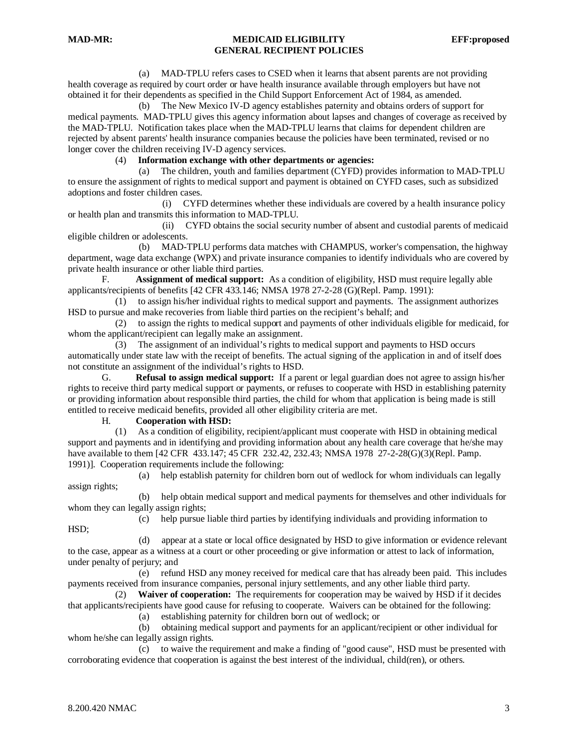(a) MAD-TPLU refers cases to CSED when it learns that absent parents are not providing health coverage as required by court order or have health insurance available through employers but have not obtained it for their dependents as specified in the Child Support Enforcement Act of 1984, as amended.

 (b) The New Mexico IV-D agency establishes paternity and obtains orders of support for medical payments. MAD-TPLU gives this agency information about lapses and changes of coverage as received by the MAD-TPLU. Notification takes place when the MAD-TPLU learns that claims for dependent children are rejected by absent parents' health insurance companies because the policies have been terminated, revised or no longer cover the children receiving IV-D agency services.

#### (4) **Information exchange with other departments or agencies:**

 (a) The children, youth and families department (CYFD) provides information to MAD-TPLU to ensure the assignment of rights to medical support and payment is obtained on CYFD cases, such as subsidized adoptions and foster children cases.

 (i) CYFD determines whether these individuals are covered by a health insurance policy or health plan and transmits this information to MAD-TPLU.

 (ii) CYFD obtains the social security number of absent and custodial parents of medicaid eligible children or adolescents.

 (b) MAD-TPLU performs data matches with CHAMPUS, worker's compensation, the highway department, wage data exchange (WPX) and private insurance companies to identify individuals who are covered by private health insurance or other liable third parties.

F. **Assignment of medical support:** As a condition of eligibility, HSD must require legally able applicants/recipients of benefits [42 CFR 433.146; NMSA 1978 27-2-28 (G)(Repl. Pamp. 1991):

 (1) to assign his/her individual rights to medical support and payments. The assignment authorizes HSD to pursue and make recoveries from liable third parties on the recipient's behalf; and

 (2) to assign the rights to medical support and payments of other individuals eligible for medicaid, for whom the applicant/recipient can legally make an assignment.

 (3) The assignment of an individual's rights to medical support and payments to HSD occurs automatically under state law with the receipt of benefits. The actual signing of the application in and of itself does not constitute an assignment of the individual's rights to HSD.

G. **Refusal to assign medical support:** If a parent or legal guardian does not agree to assign his/her rights to receive third party medical support or payments, or refuses to cooperate with HSD in establishing paternity or providing information about responsible third parties, the child for whom that application is being made is still entitled to receive medicaid benefits, provided all other eligibility criteria are met.

#### H. **Cooperation with HSD:**

 (1) As a condition of eligibility, recipient/applicant must cooperate with HSD in obtaining medical support and payments and in identifying and providing information about any health care coverage that he/she may have available to them [42 CFR 433.147; 45 CFR 232.42, 232.43; NMSA 1978 27-2-28(G)(3)(Repl. Pamp. 1991)]. Cooperation requirements include the following:

 (a) help establish paternity for children born out of wedlock for whom individuals can legally assign rights;

 (b) help obtain medical support and medical payments for themselves and other individuals for whom they can legally assign rights;

(c) help pursue liable third parties by identifying individuals and providing information to

HSD;

 (d) appear at a state or local office designated by HSD to give information or evidence relevant to the case, appear as a witness at a court or other proceeding or give information or attest to lack of information, under penalty of perjury; and

 (e) refund HSD any money received for medical care that has already been paid. This includes payments received from insurance companies, personal injury settlements, and any other liable third party.

 (2) **Waiver of cooperation:** The requirements for cooperation may be waived by HSD if it decides that applicants/recipients have good cause for refusing to cooperate. Waivers can be obtained for the following:

(a) establishing paternity for children born out of wedlock; or

 (b) obtaining medical support and payments for an applicant/recipient or other individual for whom he/she can legally assign rights.

 (c) to waive the requirement and make a finding of "good cause", HSD must be presented with corroborating evidence that cooperation is against the best interest of the individual, child(ren), or others.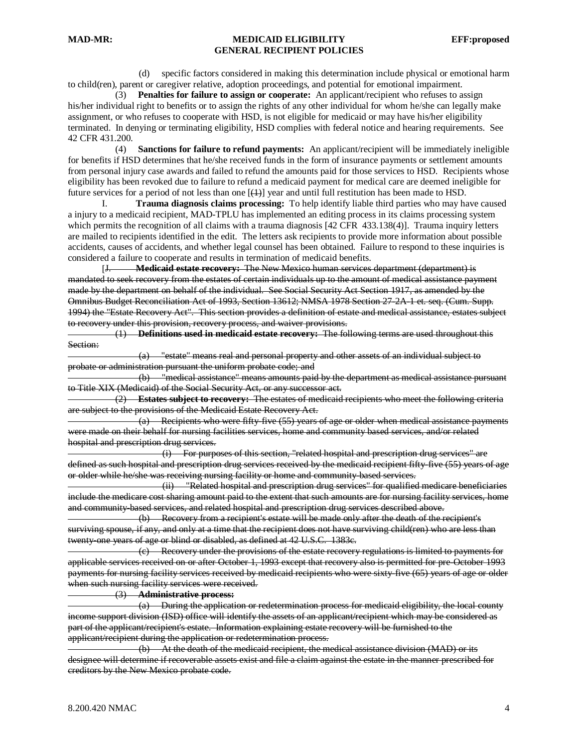(d) specific factors considered in making this determination include physical or emotional harm to child(ren), parent or caregiver relative, adoption proceedings, and potential for emotional impairment.

 (3) **Penalties for failure to assign or cooperate:** An applicant/recipient who refuses to assign his/her individual right to benefits or to assign the rights of any other individual for whom he/she can legally make assignment, or who refuses to cooperate with HSD, is not eligible for medicaid or may have his/her eligibility terminated. In denying or terminating eligibility, HSD complies with federal notice and hearing requirements. See 42 CFR 431.200.

 (4) **Sanctions for failure to refund payments:** An applicant/recipient will be immediately ineligible for benefits if HSD determines that he/she received funds in the form of insurance payments or settlement amounts from personal injury case awards and failed to refund the amounts paid for those services to HSD. Recipients whose eligibility has been revoked due to failure to refund a medicaid payment for medical care are deemed ineligible for future services for a period of not less than one  $[\frac{(1)}{2}]$  year and until full restitution has been made to HSD.

I. **Trauma diagnosis claims processing:** To help identify liable third parties who may have caused a injury to a medicaid recipient, MAD-TPLU has implemented an editing process in its claims processing system which permits the recognition of all claims with a trauma diagnosis [42 CFR 433.138(4)]. Trauma inquiry letters are mailed to recipients identified in the edit. The letters ask recipients to provide more information about possible accidents, causes of accidents, and whether legal counsel has been obtained. Failure to respond to these inquiries is considered a failure to cooperate and results in termination of medicaid benefits.

[J. **Medicaid estate recovery:** The New Mexico human services department (department) is mandated to seek recovery from the estates of certain individuals up to the amount of medical assistance payment made by the department on behalf of the individual. See Social Security Act Section 1917, as amended by the Omnibus Budget Reconciliation Act of 1993, Section 13612; NMSA 1978 Section 27-2A-1 et. seq. (Cum. Supp. 1994) the "Estate Recovery Act". This section provides a definition of estate and medical assistance, estates subject to recovery under this provision, recovery process, and waiver provisions.

 (1) **Definitions used in medicaid estate recovery:** The following terms are used throughout this Section:

 (a) "estate" means real and personal property and other assets of an individual subject to probate or administration pursuant the uniform probate code; and

 (b) "medical assistance" means amounts paid by the department as medical assistance pursuant to Title XIX (Medicaid) of the Social Security Act, or any successor act.

 (2) **Estates subject to recovery:** The estates of medicaid recipients who meet the following criteria are subject to the provisions of the Medicaid Estate Recovery Act.

 $(a)$  Recipients who were fifty-five (55) years of age or older when medical assistance payments were made on their behalf for nursing facilities services, home and community based services, and/or related hospital and prescription drug services.

 (i) For purposes of this section, "related hospital and prescription drug services" are defined as such hospital and prescription drug services received by the medicaid recipient fifty-five (55) years of age or older while he/she was receiving nursing facility or home and community-based services.

 (ii) "Related hospital and prescription drug services" for qualified medicare beneficiaries include the medicare cost sharing amount paid to the extent that such amounts are for nursing facility services, home and community-based services, and related hospital and prescription drug services described above.

 (b) Recovery from a recipient's estate will be made only after the death of the recipient's surviving spouse, if any, and only at a time that the recipient does not have surviving child(ren) who are less than twenty-one years of age or blind or disabled, as defined at 42 U.S.C. 1383c.

 (c) Recovery under the provisions of the estate recovery regulations is limited to payments for applicable services received on or after October 1, 1993 except that recovery also is permitted for pre-October 1993 payments for nursing facility services received by medicaid recipients who were sixty-five (65) years of age or older when such nursing facility services were received.

(3) **Administrative process:**

 (a) During the application or redetermination process for medicaid eligibility, the local county income support division (ISD) office will identify the assets of an applicant/recipient which may be considered as part of the applicant/recipient's estate. Information explaining estate recovery will be furnished to the applicant/recipient during the application or redetermination process.

 (b) At the death of the medicaid recipient, the medical assistance division (MAD) or its designee will determine if recoverable assets exist and file a claim against the estate in the manner prescribed for creditors by the New Mexico probate code.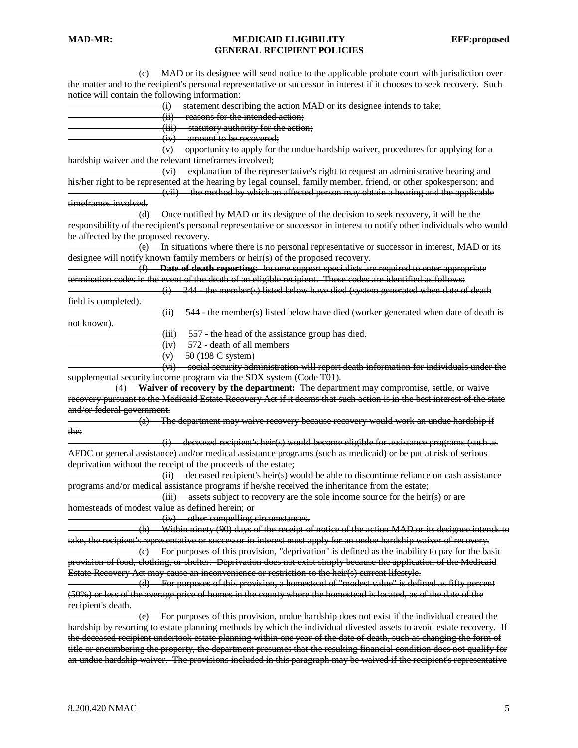| (e) MAD or its designee will send notice to the applicable probate court with jurisdiction over                          |
|--------------------------------------------------------------------------------------------------------------------------|
| the matter and to the recipient's personal representative or successor in interest if it chooses to seek recovery. Such  |
| notice will contain the following information:                                                                           |
| (i) statement describing the action MAD or its designee intends to take;                                                 |
| (ii) reasons for the intended action;                                                                                    |
| (iii) statutory authority for the action;                                                                                |
| (iv) amount to be recovered;                                                                                             |
| $(v)$ opportunity to apply for the undue hardship waiver, procedures for applying for a                                  |
| hardship waiver and the relevant timeframes involved;                                                                    |
| (vi) explanation of the representative's right to request an administrative hearing and                                  |
| his/her right to be represented at the hearing by legal counsel, family member, friend, or other spokesperson; and       |
| (vii) the method by which an affected person may obtain a hearing and the applicable                                     |
| timeframes involved.                                                                                                     |
| (d) Once notified by MAD or its designee of the decision to seek recovery, it will be the                                |
| responsibility of the recipient's personal representative or successor in interest to notify other individuals who would |
| be affected by the proposed recovery.                                                                                    |
| (e) In situations where there is no personal representative or successor in interest, MAD or its                         |
| designee will notify known family members or heir(s) of the proposed recovery.                                           |
| (f) Date of death reporting: Income support specialists are required to enter appropriate                                |
| termination codes in the event of the death of an eligible recipient. These codes are identified as follows:             |
| $(i)$ 244 - the member(s) listed below have died (system generated when date of death                                    |
| field is completed).                                                                                                     |
| $(i)$ 544 the member(s) listed below have died (worker generated when date of death is                                   |
| not known).                                                                                                              |
| $(iii)$ 557 - the head of the assistance group has died.                                                                 |
| $(iv)$ 572 death of all members                                                                                          |
| $(v)$ 50 (198 C system)                                                                                                  |
| (vi) social security administration will report death information for individuals under the                              |
|                                                                                                                          |
| supplemental security income program via the SDX system (Code T01).                                                      |
| (4) Waiver of recovery by the department: The department may compromise, settle, or waive                                |
| recovery pursuant to the Medicaid Estate Recovery Act if it deems that such action is in the best interest of the state  |
| and/or federal government.                                                                                               |
| $(a)$ The department may waive recovery because recovery would work an undue hardship if                                 |
| the:                                                                                                                     |
| (i) deceased recipient's heir(s) would become eligible for assistance programs (such as                                  |
| AFDC or general assistance) and/or medical assistance programs (such as medicaid) or be put at risk of serious           |
| deprivation without the receipt of the proceeds of the estate;                                                           |
| (ii) deceased recipient's heir(s) would be able to discontinue reliance on cash assistance                               |
| programs and/or medical assistance programs if he/she received the inheritance from the estate;                          |
| (iii) assets subject to recovery are the sole income source for the heir(s) or are                                       |
| homesteads of modest value as defined herein; or                                                                         |
| (iv) other compelling circumstances.                                                                                     |
| (b) Within ninety (90) days of the receipt of notice of the action MAD or its designee intends to                        |
| take, the recipient's representative or successor in interest must apply for an undue hardship waiver of recovery.       |
| $\epsilon$ ) For purposes of this provision, "deprivation" is defined as the inability to pay for the basic              |
| provision of food, elothing, or shelter. Deprivation does not exist simply because the application of the Medicaid       |
| Estate Recovery Act may cause an inconvenience or restriction to the heir(s) current lifestyle.                          |
|                                                                                                                          |
| (d) For purposes of this provision, a homestead of "modest value" is defined as fifty percent                            |
| (50%) or less of the average price of homes in the county where the homestead is located, as of the date of the          |
| recipient's death.                                                                                                       |
| (e) For purposes of this provision, undue hardship does not exist if the individual created the                          |
| hardship by resorting to estate planning methods by which the individual divested assets to avoid estate recovery. If    |
| the deceased recipient undertook estate planning within one year of the date of death, such as changing the form of      |
| title or encumbering the property, the department presumes that the resulting financial condition does not qualify for   |
| an undue hardship waiver. The provisions included in this paragraph may be waived if the recipient's representative      |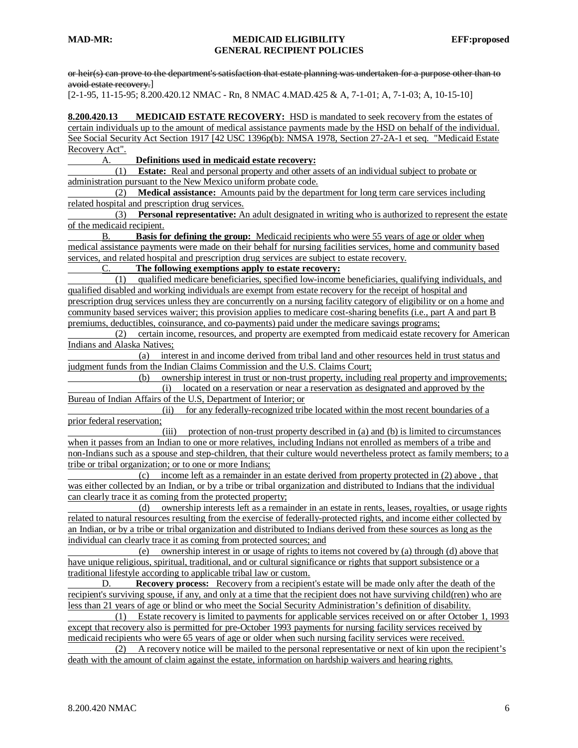or heir(s) can prove to the department's satisfaction that estate planning was undertaken for a purpose other than to avoid estate recovery. ]

[2-1-95, 11-15-95; 8.200.420.12 NMAC - Rn, 8 NMAC 4.MAD.425 & A, 7-1-01; A, 7-1-03; A, 10-15-10]

**8.200.420.13 MEDICAID ESTATE RECOVERY:** HSD is mandated to seek recovery from the estates of certain individuals up to the amount of medical assistance payments made by the HSD on behalf of the individual. See Social Security Act Section 1917 [42 USC 1396p(b): NMSA 1978, Section 27-2A-1 et seq. "Medicaid Estate" Recovery Act".

### A. **Definitions used in medicaid estate recovery:**

 (1) **Estate:** Real and personal property and other assets of an individual subject to probate or administration pursuant to the New Mexico uniform probate code.

 (2) **Medical assistance:** Amounts paid by the department for long term care services including related hospital and prescription drug services.

 (3) **Personal representative:** An adult designated in writing who is authorized to represent the estate of the medicaid recipient.

B. **Basis for defining the group:** Medicaid recipients who were 55 years of age or older when medical assistance payments were made on their behalf for nursing facilities services, home and community based services, and related hospital and prescription drug services are subject to estate recovery.

C. **The following exemptions apply to estate recovery:**

 (1) qualified medicare beneficiaries, specified low-income beneficiaries, qualifying individuals, and qualified disabled and working individuals are exempt from estate recovery for the receipt of hospital and prescription drug services unless they are concurrently on a nursing facility category of eligibility or on a home and community based services waiver; this provision applies to medicare cost-sharing benefits (i.e., part A and part B premiums, deductibles, coinsurance, and co-payments) paid under the medicare savings programs;

 (2) certain income, resources, and property are exempted from medicaid estate recovery for American Indians and Alaska Natives;

 (a) interest in and income derived from tribal land and other resources held in trust status and judgment funds from the Indian Claims Commission and the U.S. Claims Court;

 (b) ownership interest in trust or non-trust property, including real property and improvements; (i) located on a reservation or near a reservation as designated and approved by the Bureau of Indian Affairs of the U.S, Department of Interior; or

 (ii) for any federally-recognized tribe located within the most recent boundaries of a prior federal reservation;

 (iii) protection of non-trust property described in (a) and (b) is limited to circumstances when it passes from an Indian to one or more relatives, including Indians not enrolled as members of a tribe and non-Indians such as a spouse and step-children, that their culture would nevertheless protect as family members; to a tribe or tribal organization; or to one or more Indians;

 (c) income left as a remainder in an estate derived from property protected in (2) above , that was either collected by an Indian, or by a tribe or tribal organization and distributed to Indians that the individual can clearly trace it as coming from the protected property;

 (d) ownership interests left as a remainder in an estate in rents, leases, royalties, or usage rights related to natural resources resulting from the exercise of federally-protected rights, and income either collected by an Indian, or by a tribe or tribal organization and distributed to Indians derived from these sources as long as the individual can clearly trace it as coming from protected sources; and

 (e) ownership interest in or usage of rights to items not covered by (a) through (d) above that have unique religious, spiritual, traditional, and or cultural significance or rights that support subsistence or a traditional lifestyle according to applicable tribal law or custom.

D. **Recovery process:** Recovery from a recipient's estate will be made only after the death of the recipient's surviving spouse, if any, and only at a time that the recipient does not have surviving child(ren) who are less than 21 years of age or blind or who meet the Social Security Administration's definition of disability.

 (1) Estate recovery is limited to payments for applicable services received on or after October 1, 1993 except that recovery also is permitted for pre-October 1993 payments for nursing facility services received by medicaid recipients who were 65 years of age or older when such nursing facility services were received.

 (2) A recovery notice will be mailed to the personal representative or next of kin upon the recipient's death with the amount of claim against the estate, information on hardship waivers and hearing rights.